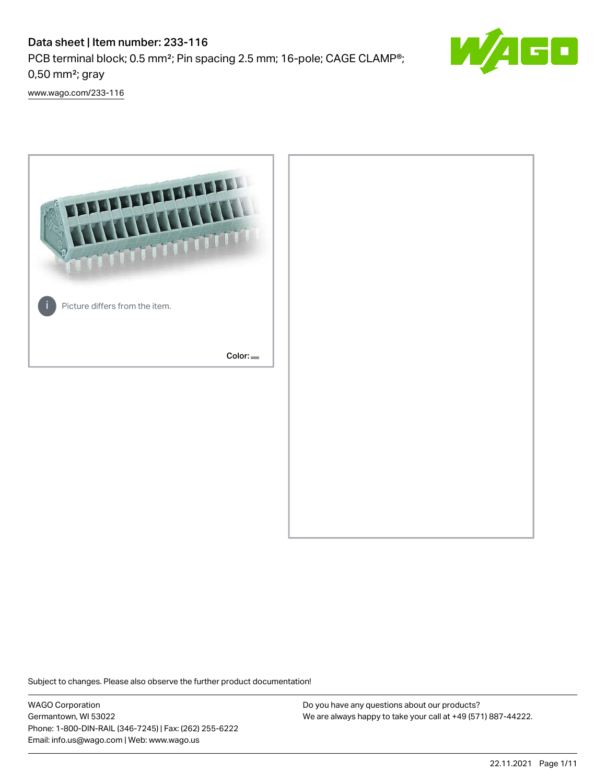## Data sheet | Item number: 233-116 PCB terminal block; 0.5 mm²; Pin spacing 2.5 mm; 16-pole; CAGE CLAMP®; 0,50 mm²; gray



[www.wago.com/233-116](http://www.wago.com/233-116)



Subject to changes. Please also observe the further product documentation!

WAGO Corporation Germantown, WI 53022 Phone: 1-800-DIN-RAIL (346-7245) | Fax: (262) 255-6222 Email: info.us@wago.com | Web: www.wago.us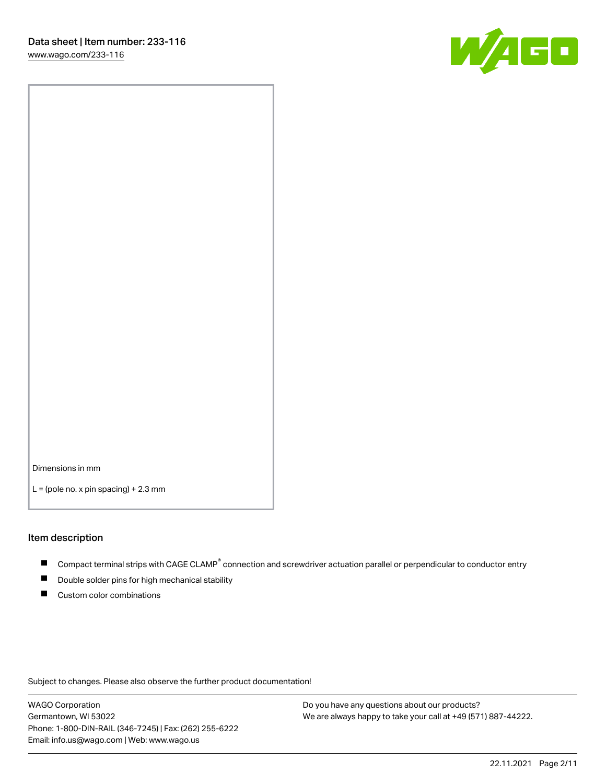

Dimensions in mm

 $L =$  (pole no. x pin spacing) + 2.3 mm

#### Item description

- Compact terminal strips with CAGE CLAMP<sup>®</sup> connection and screwdriver actuation parallel or perpendicular to conductor entry
- Double solder pins for high mechanical stability
- Custom color combinations

Subject to changes. Please also observe the further product documentation!

WAGO Corporation Germantown, WI 53022 Phone: 1-800-DIN-RAIL (346-7245) | Fax: (262) 255-6222 Email: info.us@wago.com | Web: www.wago.us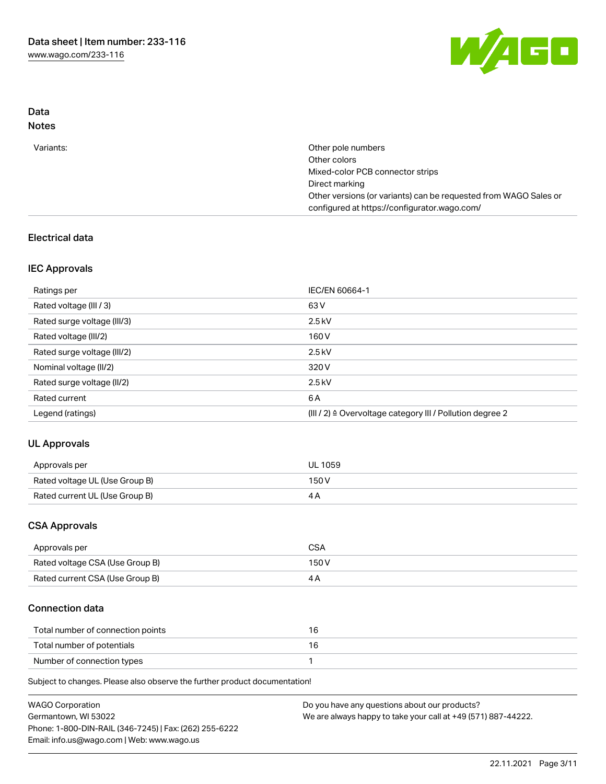

## Data Notes

| Variants: | Other pole numbers                                               |
|-----------|------------------------------------------------------------------|
|           | Other colors                                                     |
|           | Mixed-color PCB connector strips                                 |
|           | Direct marking                                                   |
|           | Other versions (or variants) can be requested from WAGO Sales or |
|           | configured at https://configurator.wago.com/                     |
|           |                                                                  |

## Electrical data

## IEC Approvals

| Ratings per                 | IEC/EN 60664-1                                                        |
|-----------------------------|-----------------------------------------------------------------------|
| Rated voltage (III / 3)     | 63 V                                                                  |
| Rated surge voltage (III/3) | $2.5$ kV                                                              |
| Rated voltage (III/2)       | 160 V                                                                 |
| Rated surge voltage (III/2) | $2.5$ kV                                                              |
| Nominal voltage (II/2)      | 320 V                                                                 |
| Rated surge voltage (II/2)  | $2.5$ kV                                                              |
| Rated current               | 6 A                                                                   |
| Legend (ratings)            | $(III / 2)$ $\triangle$ Overvoltage category III / Pollution degree 2 |

## UL Approvals

| Approvals per                  | <b>UL 1059</b> |
|--------------------------------|----------------|
| Rated voltage UL (Use Group B) | 150V           |
| Rated current UL (Use Group B) |                |

## CSA Approvals

| Approvals per                   | CSA   |
|---------------------------------|-------|
| Rated voltage CSA (Use Group B) | 150 V |
| Rated current CSA (Use Group B) |       |

## Connection data

| Total number of connection points |  |
|-----------------------------------|--|
| Total number of potentials        |  |
| Number of connection types        |  |

Subject to changes. Please also observe the further product documentation!

| <b>WAGO Corporation</b>                                | Do you have any questions about our products?                 |
|--------------------------------------------------------|---------------------------------------------------------------|
| Germantown, WI 53022                                   | We are always happy to take your call at +49 (571) 887-44222. |
| Phone: 1-800-DIN-RAIL (346-7245)   Fax: (262) 255-6222 |                                                               |
| Email: info.us@wago.com   Web: www.wago.us             |                                                               |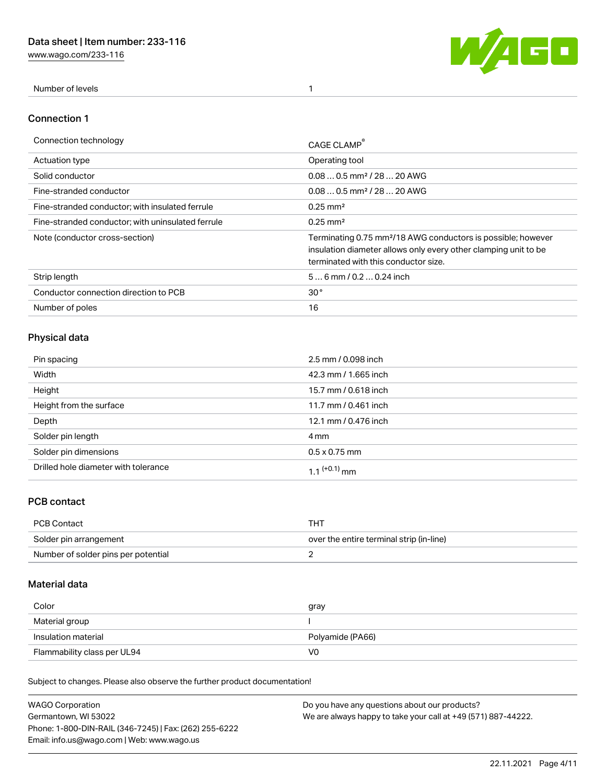[www.wago.com/233-116](http://www.wago.com/233-116)



Number of levels 1

#### Connection 1

| Connection technology                             | CAGE CLAMP                                                                                                                                                                          |
|---------------------------------------------------|-------------------------------------------------------------------------------------------------------------------------------------------------------------------------------------|
| <b>Actuation type</b>                             | Operating tool                                                                                                                                                                      |
| Solid conductor                                   | $0.080.5$ mm <sup>2</sup> / 28  20 AWG                                                                                                                                              |
| Fine-stranded conductor                           | $0.080.5$ mm <sup>2</sup> / 28  20 AWG                                                                                                                                              |
| Fine-stranded conductor; with insulated ferrule   | $0.25 \text{ mm}^2$                                                                                                                                                                 |
| Fine-stranded conductor: with uninsulated ferrule | $0.25 \text{ mm}^2$                                                                                                                                                                 |
| Note (conductor cross-section)                    | Terminating 0.75 mm <sup>2</sup> /18 AWG conductors is possible; however<br>insulation diameter allows only every other clamping unit to be<br>terminated with this conductor size. |
| Strip length                                      | $56$ mm $/ 0.20.24$ inch                                                                                                                                                            |
| Conductor connection direction to PCB             | 30 <sup>°</sup>                                                                                                                                                                     |
| Number of poles                                   | 16                                                                                                                                                                                  |

## Physical data

| Pin spacing                          | 2.5 mm / 0.098 inch  |
|--------------------------------------|----------------------|
| Width                                | 42.3 mm / 1.665 inch |
| Height                               | 15.7 mm / 0.618 inch |
| Height from the surface              | 11.7 mm / 0.461 inch |
| Depth                                | 12.1 mm / 0.476 inch |
| Solder pin length                    | 4 mm                 |
| Solder pin dimensions                | $0.5 \times 0.75$ mm |
| Drilled hole diameter with tolerance | 1 1 $(+0.1)$ mm      |

## PCB contact

| PCB Contact                         | THT                                      |
|-------------------------------------|------------------------------------------|
| Solder pin arrangement              | over the entire terminal strip (in-line) |
| Number of solder pins per potential |                                          |

## Material data

| Color               | gray             |
|---------------------|------------------|
| Material group      |                  |
| Insulation material | Polyamide (PA66) |
|                     |                  |

Subject to changes. Please also observe the further product documentation!

| <b>WAGO Corporation</b>                                | Do you have any questions about our products?                 |
|--------------------------------------------------------|---------------------------------------------------------------|
| Germantown, WI 53022                                   | We are always happy to take your call at +49 (571) 887-44222. |
| Phone: 1-800-DIN-RAIL (346-7245)   Fax: (262) 255-6222 |                                                               |
| Email: info.us@wago.com   Web: www.wago.us             |                                                               |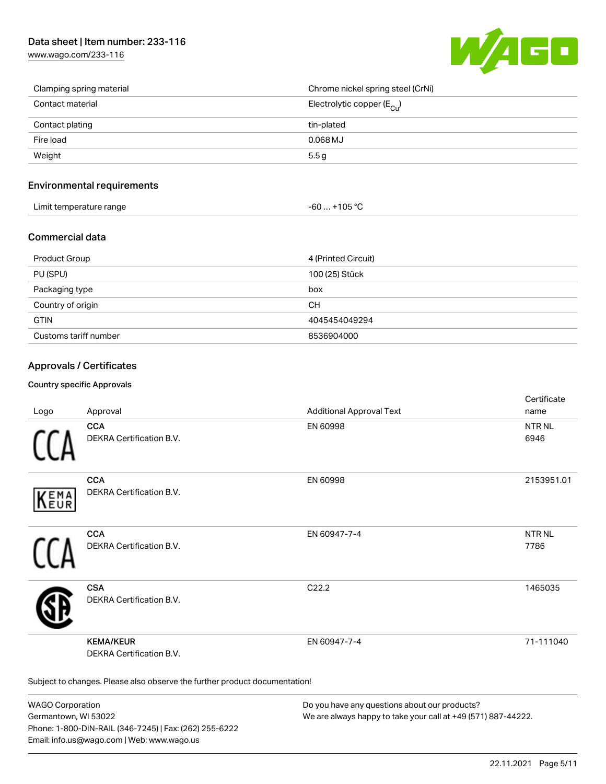## Data sheet | Item number: 233-116

[www.wago.com/233-116](http://www.wago.com/233-116)



| Clamping spring material | Chrome nickel spring steel (CrNi)       |
|--------------------------|-----------------------------------------|
| Contact material         | Electrolytic copper ( $E_{\text{Cu}}$ ) |
| Contact plating          | tin-plated                              |
| Fire load                | $0.068$ MJ                              |
| Weight                   | 5.5g                                    |

#### Environmental requirements

| Limit temperature range | $-60+105 °C$ |
|-------------------------|--------------|
|-------------------------|--------------|

#### Commercial data

| Product Group         | 4 (Printed Circuit) |
|-----------------------|---------------------|
| PU (SPU)              | 100 (25) Stück      |
| Packaging type        | box                 |
| Country of origin     | <b>CH</b>           |
| <b>GTIN</b>           | 4045454049294       |
| Customs tariff number | 8536904000          |

#### Approvals / Certificates

#### Country specific Approvals

| Logo       | Approval                                                                   | <b>Additional Approval Text</b> | Certificate<br>name  |
|------------|----------------------------------------------------------------------------|---------------------------------|----------------------|
|            | <b>CCA</b><br><b>DEKRA Certification B.V.</b>                              | EN 60998                        | <b>NTRNL</b><br>6946 |
| EMA<br>EUR | <b>CCA</b><br>DEKRA Certification B.V.                                     | EN 60998                        | 2153951.01           |
|            | <b>CCA</b><br>DEKRA Certification B.V.                                     | EN 60947-7-4                    | <b>NTRNL</b><br>7786 |
|            | <b>CSA</b><br><b>DEKRA Certification B.V.</b>                              | C <sub>22.2</sub>               | 1465035              |
|            | <b>KEMA/KEUR</b><br>DEKRA Certification B.V.                               | EN 60947-7-4                    | 71-111040            |
|            | Subject to changes. Please also observe the further product documentation! |                                 |                      |

WAGO Corporation Germantown, WI 53022 Phone: 1-800-DIN-RAIL (346-7245) | Fax: (262) 255-6222 Email: info.us@wago.com | Web: www.wago.us

Do you have any questions about our products? We are always happy to take your call at +49 (571) 887-44222.

certificate in the contraction of the contraction of the contraction of the contraction of the contraction of the contraction of the contraction of the contraction of the contraction of the contraction of the contraction o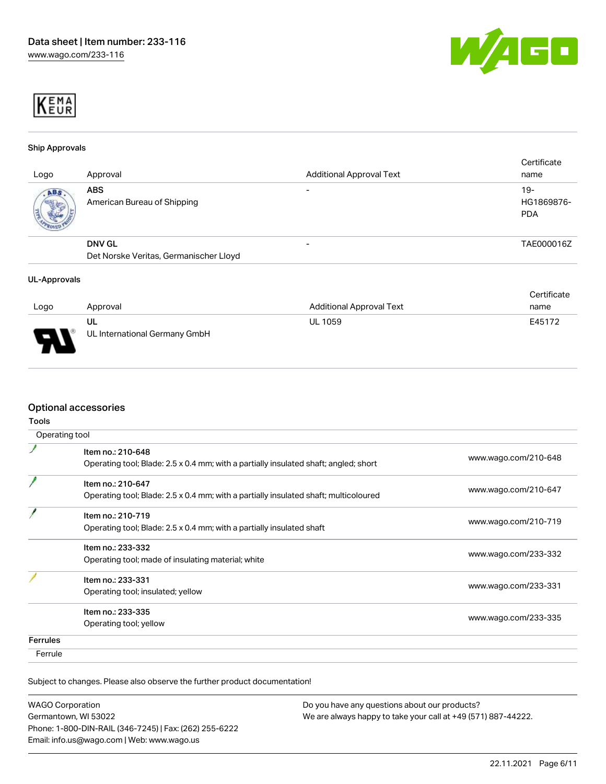



#### Ship Approvals

| Logo | Approval                                  | <b>Additional Approval Text</b> | Certificate<br>name               |
|------|-------------------------------------------|---------------------------------|-----------------------------------|
| ABS  | <b>ABS</b><br>American Bureau of Shipping |                                 | $19-$<br>HG1869876-<br><b>PDA</b> |
|      | <b>DNV GL</b>                             | -                               | TAE000016Z                        |
|      | Det Norske Veritas, Germanischer Lloyd    |                                 |                                   |

#### UL-Approvals

|                          |                                     |                                 | Certificate |
|--------------------------|-------------------------------------|---------------------------------|-------------|
| Logo                     | Approval                            | <b>Additional Approval Text</b> | name        |
| $\overline{\phantom{0}}$ | UL<br>UL International Germany GmbH | <b>UL 1059</b>                  | E45172      |

#### Optional accessories

| Operating tool  |                                                                                                           |                      |
|-----------------|-----------------------------------------------------------------------------------------------------------|----------------------|
|                 | Item no.: 210-648<br>Operating tool; Blade: 2.5 x 0.4 mm; with a partially insulated shaft; angled; short | www.wago.com/210-648 |
|                 | Item no.: 210-647<br>Operating tool; Blade: 2.5 x 0.4 mm; with a partially insulated shaft; multicoloured | www.wago.com/210-647 |
|                 | Item no.: 210-719<br>Operating tool; Blade: 2.5 x 0.4 mm; with a partially insulated shaft                | www.wago.com/210-719 |
|                 | Item no.: 233-332<br>Operating tool; made of insulating material; white                                   | www.wago.com/233-332 |
|                 | Item no.: 233-331<br>Operating tool; insulated; yellow                                                    | www.wago.com/233-331 |
|                 | Item no.: 233-335<br>Operating tool; yellow                                                               | www.wago.com/233-335 |
| <b>Ferrules</b> |                                                                                                           |                      |
| Ferrule         |                                                                                                           |                      |

Subject to changes. Please also observe the further product documentation!

| <b>WAGO Corporation</b>                                |  |
|--------------------------------------------------------|--|
| Germantown, WI 53022                                   |  |
| Phone: 1-800-DIN-RAIL (346-7245)   Fax: (262) 255-6222 |  |
| Email: info.us@wago.com   Web: www.wago.us             |  |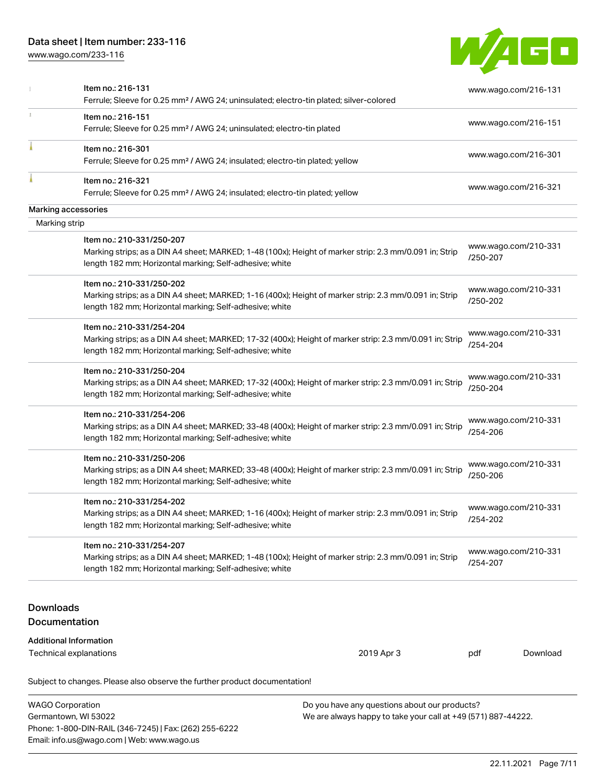## Data sheet | Item number: 233-116

Email: info.us@wago.com | Web: www.wago.us

[www.wago.com/233-116](http://www.wago.com/233-116)



|                                   | Item no.: 216-131<br>Ferrule; Sleeve for 0.25 mm <sup>2</sup> / AWG 24; uninsulated; electro-tin plated; silver-colored                                                                         |                                                                                                                |                                                                      | www.wago.com/216-131 |
|-----------------------------------|-------------------------------------------------------------------------------------------------------------------------------------------------------------------------------------------------|----------------------------------------------------------------------------------------------------------------|----------------------------------------------------------------------|----------------------|
|                                   | Item no.: 216-151<br>Ferrule; Sleeve for 0.25 mm <sup>2</sup> / AWG 24; uninsulated; electro-tin plated                                                                                         |                                                                                                                |                                                                      | www.wago.com/216-151 |
|                                   | Item no.: 216-301<br>Ferrule; Sleeve for 0.25 mm <sup>2</sup> / AWG 24; insulated; electro-tin plated; yellow                                                                                   |                                                                                                                |                                                                      | www.wago.com/216-301 |
|                                   | Item no.: 216-321<br>Ferrule; Sleeve for 0.25 mm <sup>2</sup> / AWG 24; insulated; electro-tin plated; yellow                                                                                   |                                                                                                                |                                                                      | www.wago.com/216-321 |
|                                   | Marking accessories                                                                                                                                                                             |                                                                                                                |                                                                      |                      |
| Marking strip                     |                                                                                                                                                                                                 |                                                                                                                |                                                                      |                      |
|                                   | Item no.: 210-331/250-207<br>Marking strips; as a DIN A4 sheet; MARKED; 1-48 (100x); Height of marker strip: 2.3 mm/0.091 in; Strip<br>length 182 mm; Horizontal marking; Self-adhesive; white  |                                                                                                                | /250-207                                                             | www.wago.com/210-331 |
|                                   | Item no.: 210-331/250-202<br>Marking strips; as a DIN A4 sheet; MARKED; 1-16 (400x); Height of marker strip: 2.3 mm/0.091 in; Strip<br>length 182 mm; Horizontal marking; Self-adhesive; white  |                                                                                                                | /250-202                                                             | www.wago.com/210-331 |
|                                   | Item no.: 210-331/254-204<br>Marking strips; as a DIN A4 sheet; MARKED; 17-32 (400x); Height of marker strip: 2.3 mm/0.091 in; Strip<br>length 182 mm; Horizontal marking; Self-adhesive; white |                                                                                                                | /254-204                                                             | www.wago.com/210-331 |
|                                   | Item no.: 210-331/250-204<br>Marking strips; as a DIN A4 sheet; MARKED; 17-32 (400x); Height of marker strip: 2.3 mm/0.091 in; Strip<br>length 182 mm; Horizontal marking; Self-adhesive; white |                                                                                                                | /250-204                                                             | www.wago.com/210-331 |
|                                   | Item no.: 210-331/254-206<br>Marking strips; as a DIN A4 sheet; MARKED; 33-48 (400x); Height of marker strip: 2.3 mm/0.091 in; Strip<br>length 182 mm; Horizontal marking; Self-adhesive; white |                                                                                                                | www.wago.com/210-331<br>/254-206                                     |                      |
|                                   | Item no.: 210-331/250-206<br>Marking strips; as a DIN A4 sheet; MARKED; 33-48 (400x); Height of marker strip: 2.3 mm/0.091 in; Strip<br>length 182 mm; Horizontal marking; Self-adhesive; white |                                                                                                                | www.wago.com/210-331<br>/250-206<br>www.wago.com/210-331<br>/254-202 |                      |
|                                   | Item no.: 210-331/254-202<br>Marking strips; as a DIN A4 sheet; MARKED; 1-16 (400x); Height of marker strip: 2.3 mm/0.091 in; Strip<br>length 182 mm; Horizontal marking; Self-adhesive; white  |                                                                                                                |                                                                      |                      |
|                                   | Item no.: 210-331/254-207<br>Marking strips; as a DIN A4 sheet; MARKED; 1-48 (100x); Height of marker strip: 2.3 mm/0.091 in; Strip<br>length 182 mm; Horizontal marking; Self-adhesive; white  |                                                                                                                | /254-207                                                             | www.wago.com/210-331 |
| <b>Downloads</b><br>Documentation |                                                                                                                                                                                                 |                                                                                                                |                                                                      |                      |
|                                   | <b>Additional Information</b><br>Technical explanations                                                                                                                                         | 2019 Apr 3                                                                                                     | pdf                                                                  | Download             |
|                                   | Subject to changes. Please also observe the further product documentation!                                                                                                                      |                                                                                                                |                                                                      |                      |
| <b>WAGO Corporation</b>           | Germantown, WI 53022<br>Phone: 1-800-DIN-RAIL (346-7245)   Fax: (262) 255-6222                                                                                                                  | Do you have any questions about our products?<br>We are always happy to take your call at +49 (571) 887-44222. |                                                                      |                      |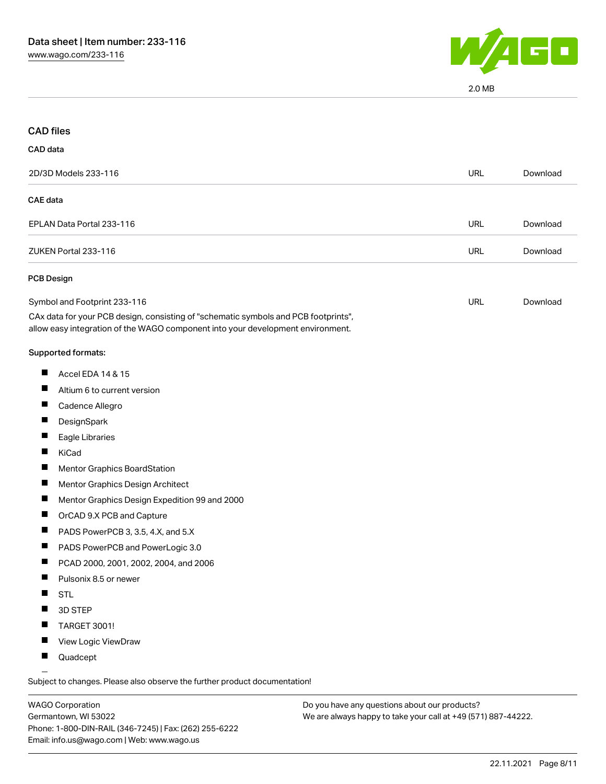

2.0 MB

| <b>CAD files</b>                                                                                                                                                       |            |          |
|------------------------------------------------------------------------------------------------------------------------------------------------------------------------|------------|----------|
| CAD data                                                                                                                                                               |            |          |
| 2D/3D Models 233-116                                                                                                                                                   | <b>URL</b> | Download |
| <b>CAE</b> data                                                                                                                                                        |            |          |
| EPLAN Data Portal 233-116                                                                                                                                              | <b>URL</b> | Download |
| ZUKEN Portal 233-116                                                                                                                                                   | <b>URL</b> | Download |
| PCB Design                                                                                                                                                             |            |          |
| Symbol and Footprint 233-116                                                                                                                                           | <b>URL</b> | Download |
| CAx data for your PCB design, consisting of "schematic symbols and PCB footprints",<br>allow easy integration of the WAGO component into your development environment. |            |          |
| Supported formats:                                                                                                                                                     |            |          |
| H<br>Accel EDA 14 & 15                                                                                                                                                 |            |          |
| Altium 6 to current version<br>H                                                                                                                                       |            |          |
| Cadence Allegro                                                                                                                                                        |            |          |
| DesignSpark                                                                                                                                                            |            |          |
| ш<br>Eagle Libraries                                                                                                                                                   |            |          |
| KiCad                                                                                                                                                                  |            |          |
| <b>Mentor Graphics BoardStation</b>                                                                                                                                    |            |          |
| $\blacksquare$<br>Mentor Graphics Design Architect                                                                                                                     |            |          |
| ш<br>Mentor Graphics Design Expedition 99 and 2000                                                                                                                     |            |          |
| OrCAD 9.X PCB and Capture                                                                                                                                              |            |          |
| PADS PowerPCB 3, 3.5, 4.X, and 5.X                                                                                                                                     |            |          |
| PADS PowerPCB and PowerLogic 3.0<br>$\blacksquare$                                                                                                                     |            |          |
| PCAD 2000, 2001, 2002, 2004, and 2006                                                                                                                                  |            |          |
| Pulsonix 8.5 or newer                                                                                                                                                  |            |          |
| <b>STL</b>                                                                                                                                                             |            |          |
| 3D STEP                                                                                                                                                                |            |          |
| TARGET 3001!                                                                                                                                                           |            |          |
| View Logic ViewDraw                                                                                                                                                    |            |          |
| Quadcept                                                                                                                                                               |            |          |

.<br>Subject to changes. Please also observe the further product documentation!

WAGO Corporation Germantown, WI 53022 Phone: 1-800-DIN-RAIL (346-7245) | Fax: (262) 255-6222 Email: info.us@wago.com | Web: www.wago.us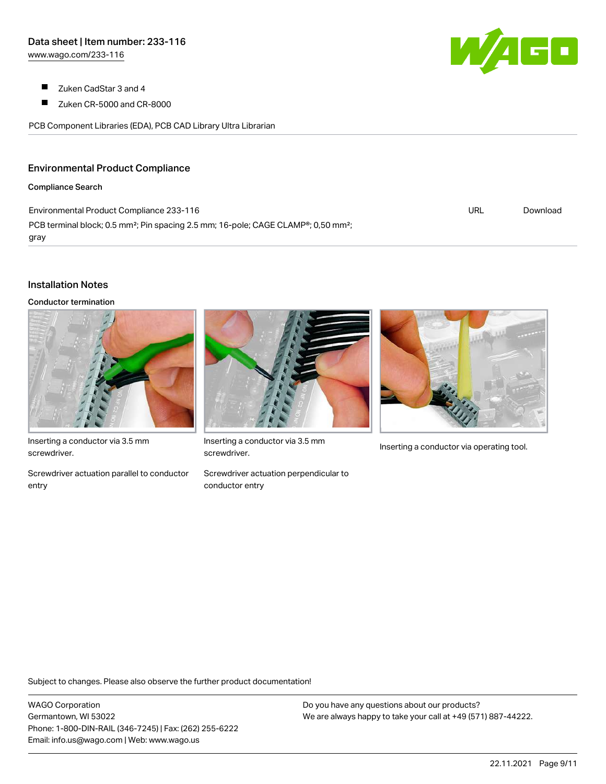- $\blacksquare$ Zuken CadStar 3 and 4
- $\blacksquare$ Zuken CR-5000 and CR-8000

PCB Component Libraries (EDA), PCB CAD Library Ultra Librarian

#### Environmental Product Compliance

#### Compliance Search

Environmental Product Compliance 233-116 PCB terminal block; 0.5 mm<sup>2</sup>; Pin spacing 2.5 mm; 16-pole; CAGE CLAMP<sup>®</sup>; 0,50 mm<sup>2</sup>; gray

#### Installation Notes

Conductor termination



Inserting a conductor via 3.5 mm screwdriver.

Screwdriver actuation parallel to conductor entry



Inserting a conductor via 3.5 mm<br>Inserting a conductor via operating tool. screwdriver.

Screwdriver actuation perpendicular to conductor entry

Subject to changes. Please also observe the further product documentation!

WAGO Corporation Germantown, WI 53022 Phone: 1-800-DIN-RAIL (346-7245) | Fax: (262) 255-6222 Email: info.us@wago.com | Web: www.wago.us

Do you have any questions about our products? We are always happy to take your call at +49 (571) 887-44222.



URL [Download](https://www.wago.com/global/d/ComplianceLinkMediaContainer_233-116)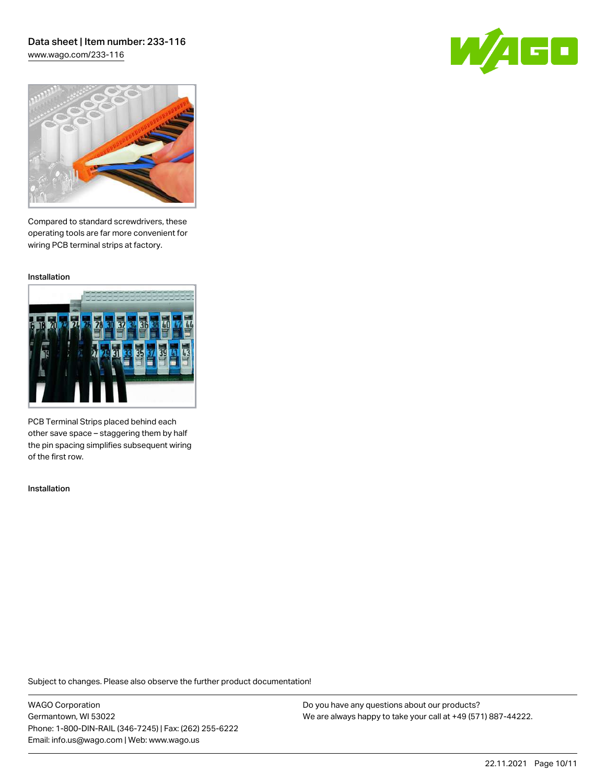# Data sheet | Item number: 233-116

[www.wago.com/233-116](http://www.wago.com/233-116)





Compared to standard screwdrivers, these operating tools are far more convenient for wiring PCB terminal strips at factory.

Installation



PCB Terminal Strips placed behind each other save space – staggering them by half the pin spacing simplifies subsequent wiring of the first row.

Installation

Subject to changes. Please also observe the further product documentation!

WAGO Corporation Germantown, WI 53022 Phone: 1-800-DIN-RAIL (346-7245) | Fax: (262) 255-6222 Email: info.us@wago.com | Web: www.wago.us